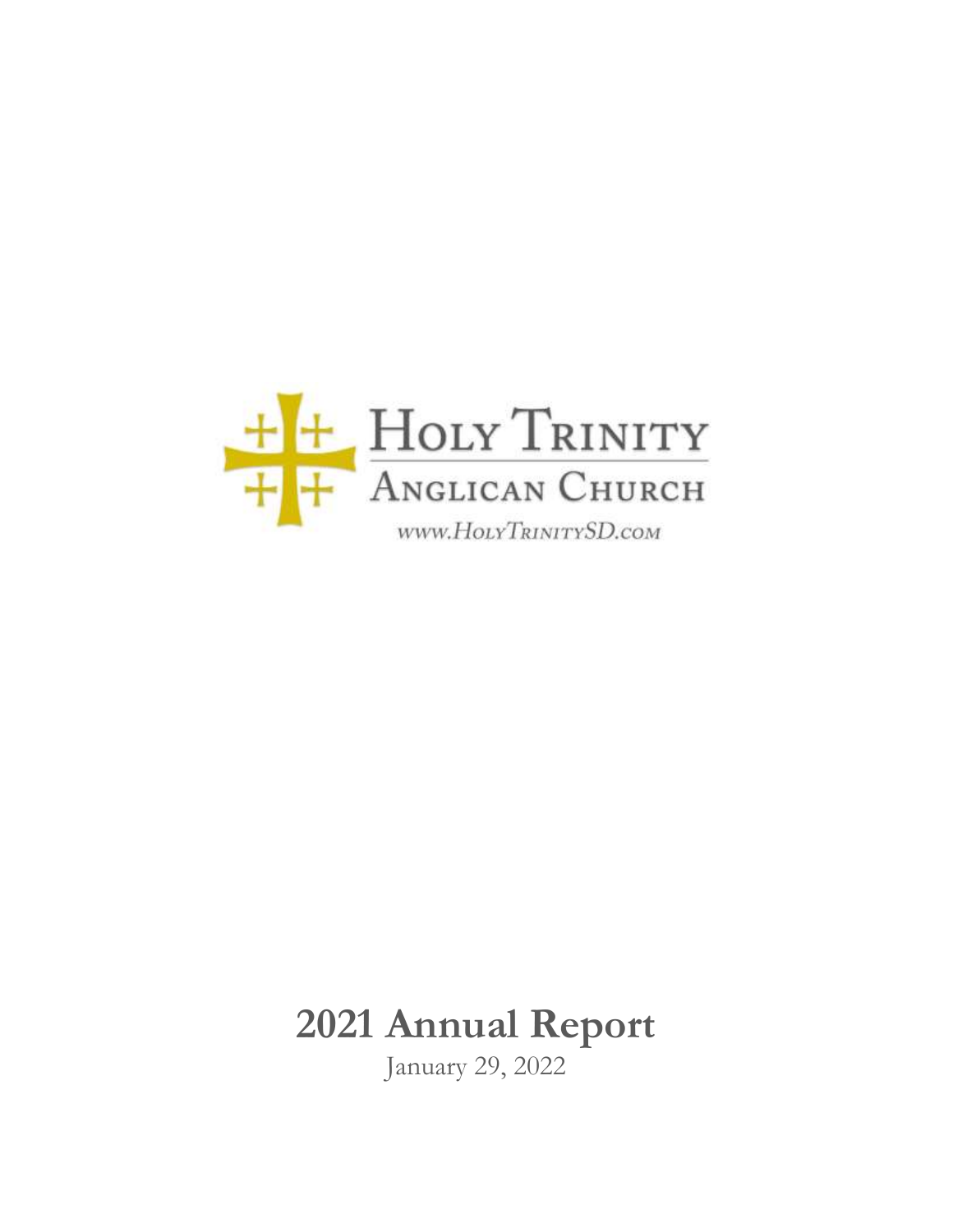

# **2021 Annual Report**

January 29, 2022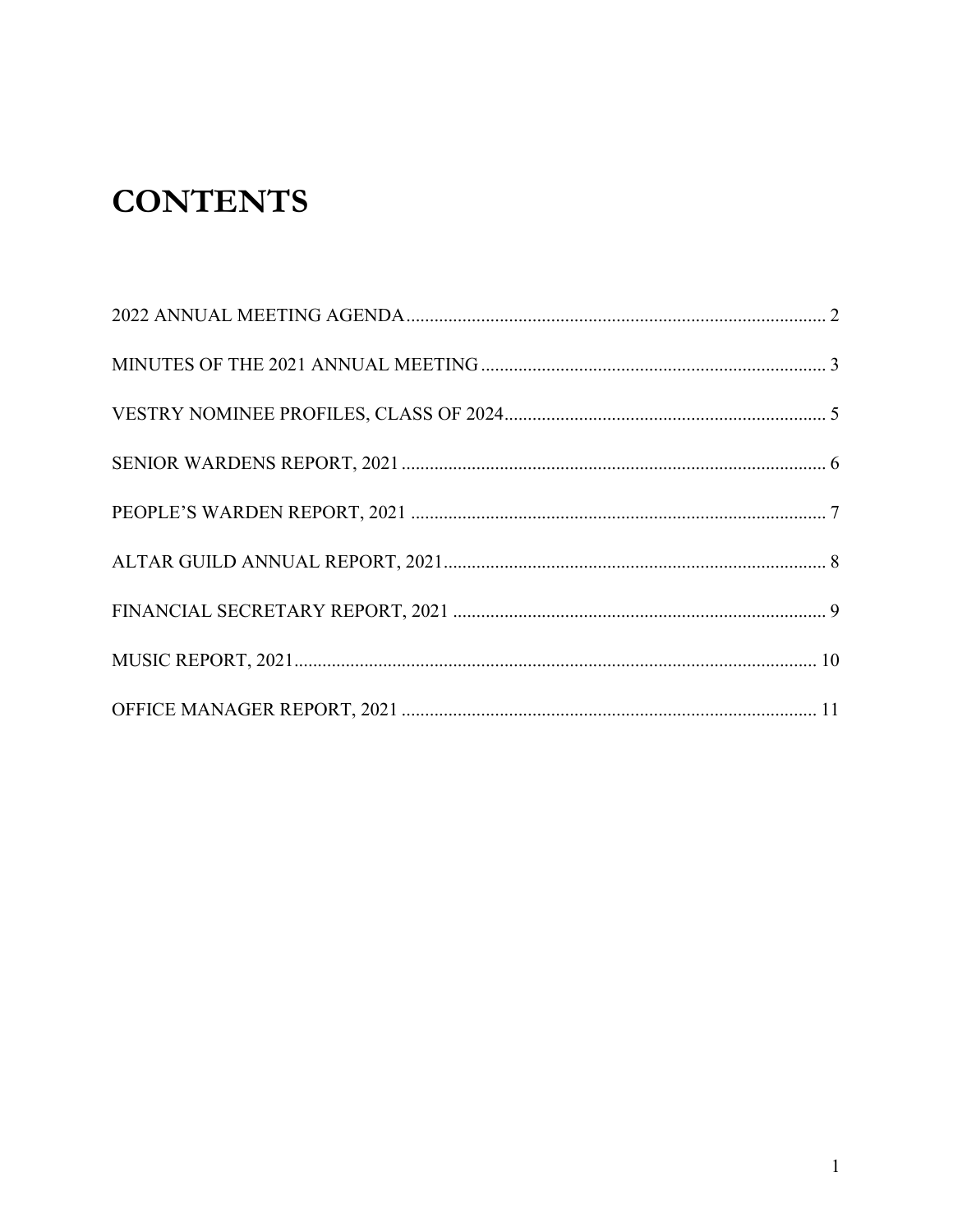## **CONTENTS**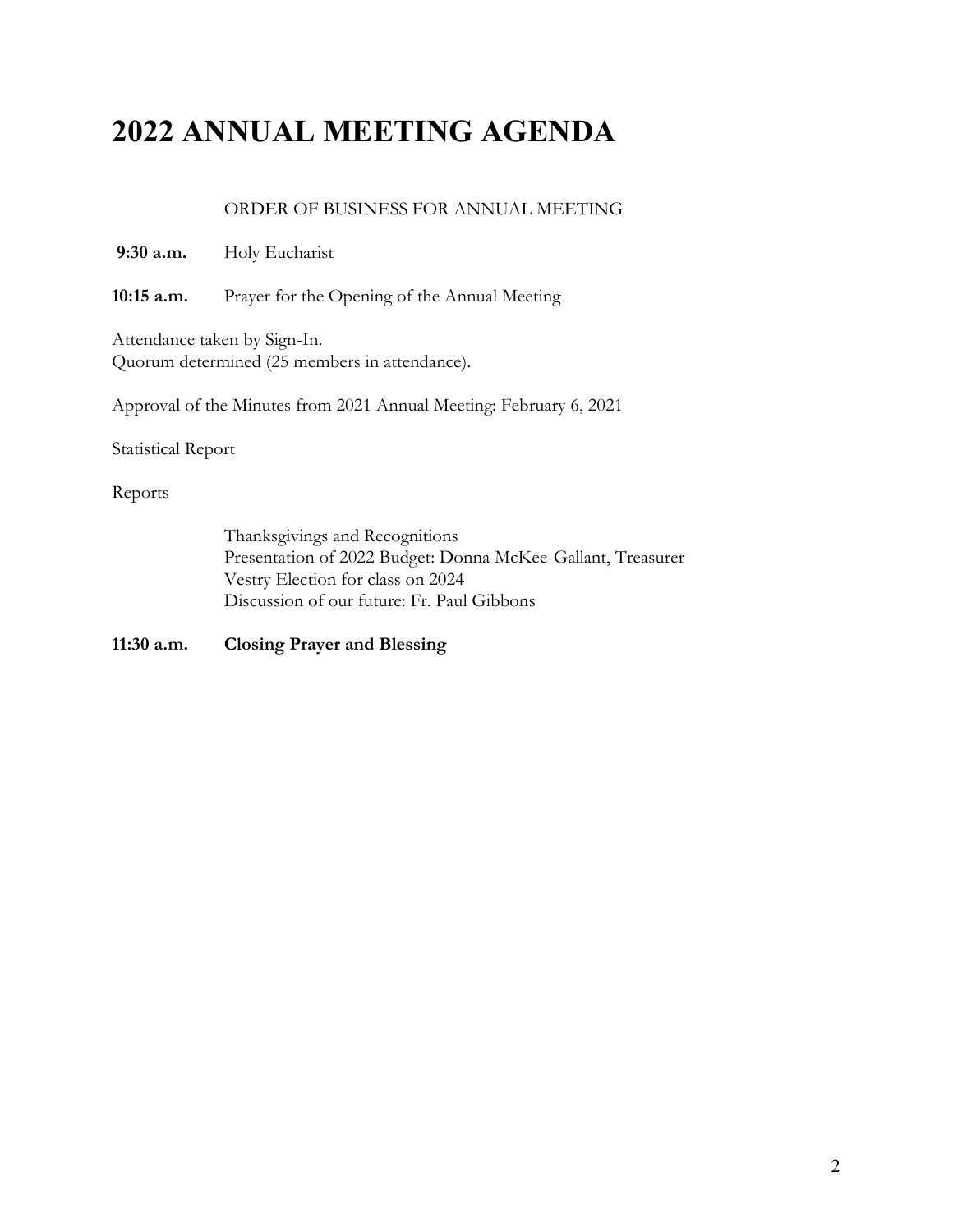### <span id="page-2-0"></span>**2022 ANNUAL MEETING AGENDA**

#### ORDER OF BUSINESS FOR ANNUAL MEETING

- **9:30 a.m.** Holy Eucharist
- **10:15 a.m.** Prayer for the Opening of the Annual Meeting

Attendance taken by Sign-In. Quorum determined (25 members in attendance).

Approval of the Minutes from 2021 Annual Meeting: February 6, 2021

Statistical Report

Reports

Thanksgivings and Recognitions Presentation of 2022 Budget: Donna McKee-Gallant, Treasurer Vestry Election for class on 2024 Discussion of our future: Fr. Paul Gibbons

**11:30 a.m. Closing Prayer and Blessing**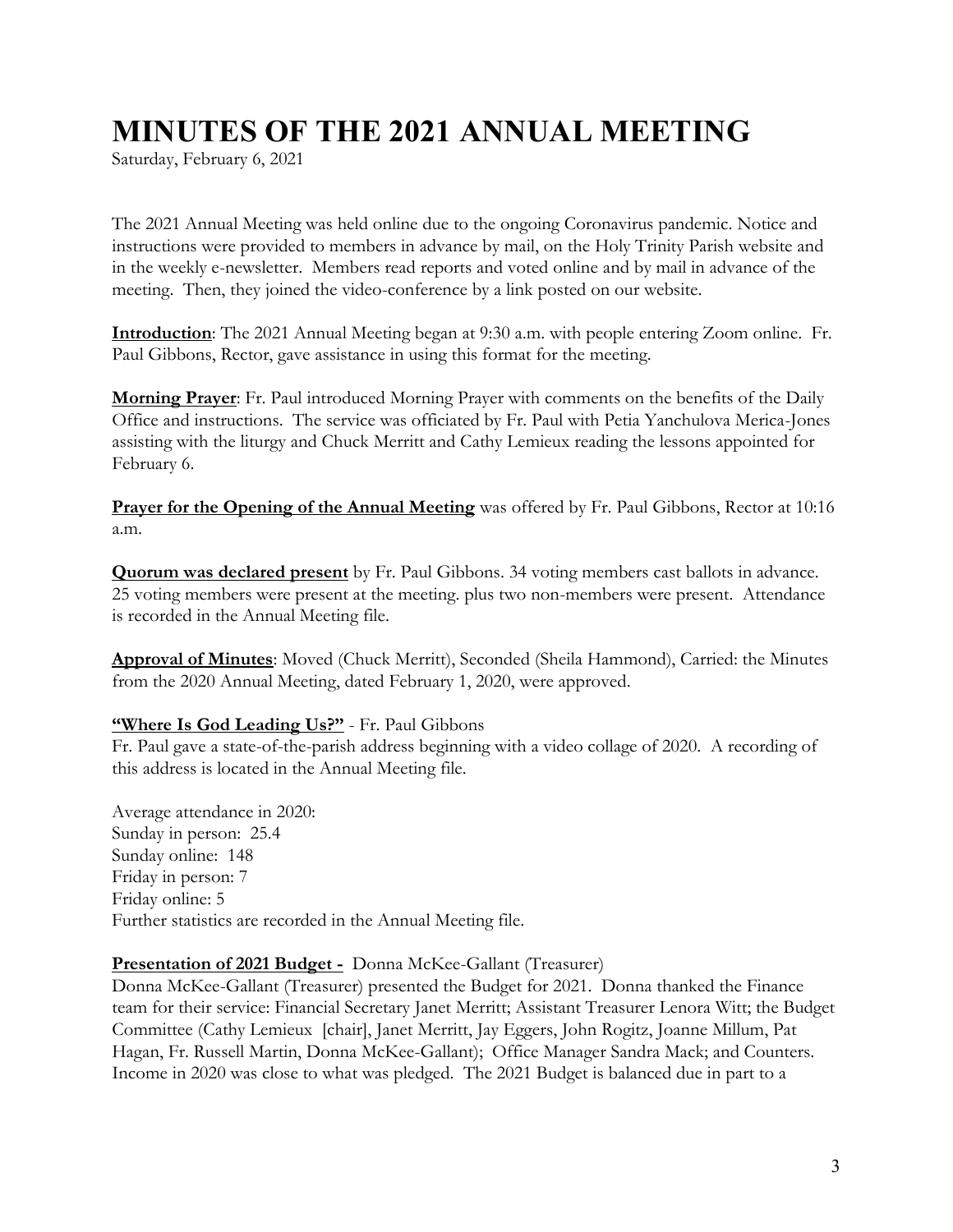### <span id="page-3-0"></span>**MINUTES OF THE 2021 ANNUAL MEETING**

Saturday, February 6, 2021

The 2021 Annual Meeting was held online due to the ongoing Coronavirus pandemic. Notice and instructions were provided to members in advance by mail, on the Holy Trinity Parish website and in the weekly e-newsletter. Members read reports and voted online and by mail in advance of the meeting. Then, they joined the video-conference by a link posted on our website.

**Introduction**: The 2021 Annual Meeting began at 9:30 a.m. with people entering Zoom online. Fr. Paul Gibbons, Rector, gave assistance in using this format for the meeting.

**Morning Prayer**: Fr. Paul introduced Morning Prayer with comments on the benefits of the Daily Office and instructions. The service was officiated by Fr. Paul with Petia Yanchulova Merica-Jones assisting with the liturgy and Chuck Merritt and Cathy Lemieux reading the lessons appointed for February 6.

**Prayer for the Opening of the Annual Meeting** was offered by Fr. Paul Gibbons, Rector at 10:16 a.m.

**Quorum was declared present** by Fr. Paul Gibbons. 34 voting members cast ballots in advance. 25 voting members were present at the meeting. plus two non-members were present. Attendance is recorded in the Annual Meeting file.

**Approval of Minutes**: Moved (Chuck Merritt), Seconded (Sheila Hammond), Carried: the Minutes from the 2020 Annual Meeting, dated February 1, 2020, were approved.

#### **"Where Is God Leading Us?"** - Fr. Paul Gibbons

Fr. Paul gave a state-of-the-parish address beginning with a video collage of 2020. A recording of this address is located in the Annual Meeting file.

Average attendance in 2020: Sunday in person: 25.4 Sunday online: 148 Friday in person: 7 Friday online: 5 Further statistics are recorded in the Annual Meeting file.

#### **Presentation of 2021 Budget -** Donna McKee-Gallant (Treasurer)

Donna McKee-Gallant (Treasurer) presented the Budget for 2021. Donna thanked the Finance team for their service: Financial Secretary Janet Merritt; Assistant Treasurer Lenora Witt; the Budget Committee (Cathy Lemieux [chair], Janet Merritt, Jay Eggers, John Rogitz, Joanne Millum, Pat Hagan, Fr. Russell Martin, Donna McKee-Gallant); Office Manager Sandra Mack; and Counters. Income in 2020 was close to what was pledged. The 2021 Budget is balanced due in part to a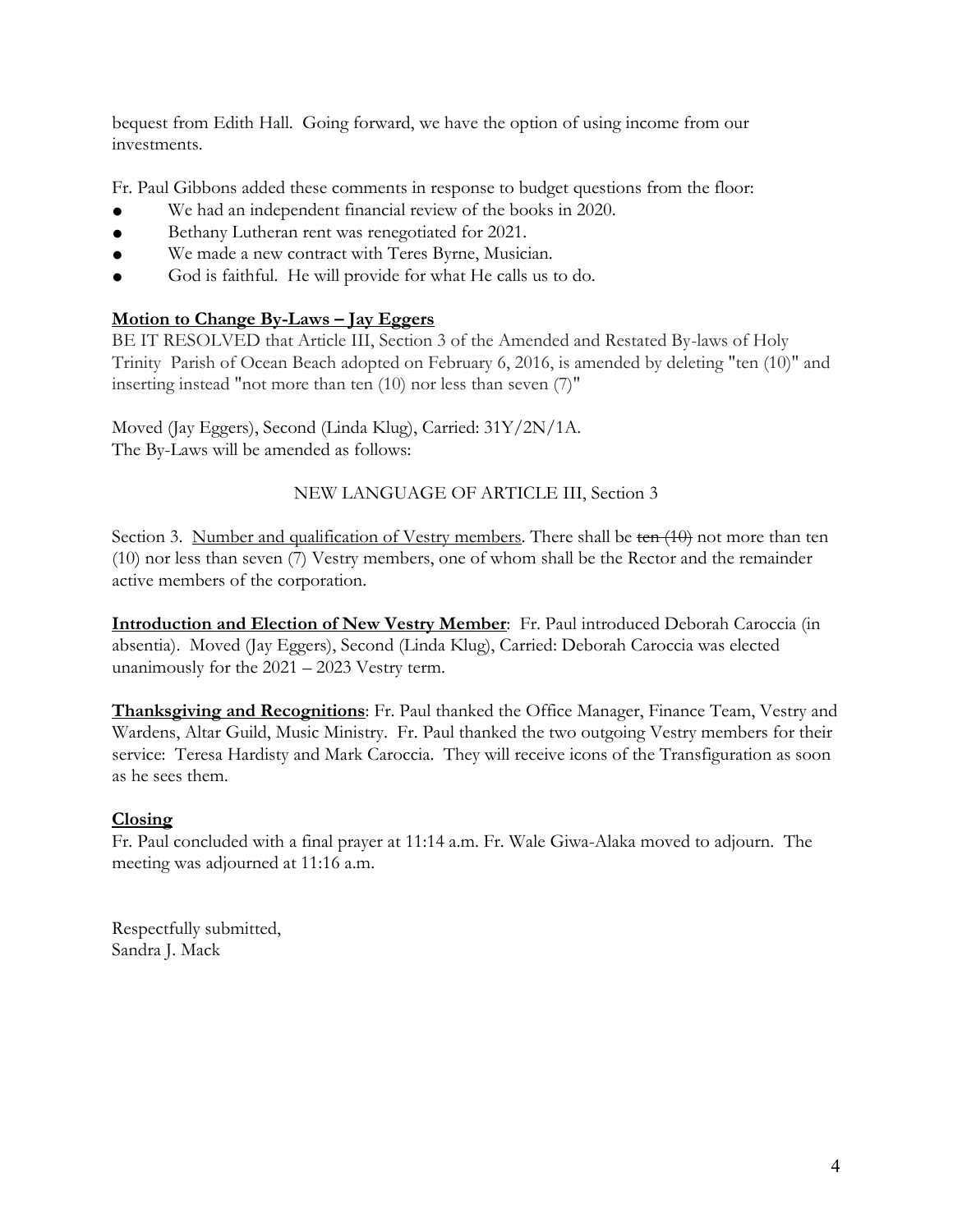bequest from Edith Hall. Going forward, we have the option of using income from our investments.

Fr. Paul Gibbons added these comments in response to budget questions from the floor:

- We had an independent financial review of the books in 2020.
- Bethany Lutheran rent was renegotiated for 2021.
- We made a new contract with Teres Byrne, Musician.
- God is faithful. He will provide for what He calls us to do.

#### **Motion to Change By-Laws – Jay Eggers**

BE IT RESOLVED that Article III, Section 3 of the Amended and Restated By-laws of Holy Trinity Parish of Ocean Beach adopted on February 6, 2016, is amended by deleting "ten (10)" and inserting instead "not more than ten (10) nor less than seven (7)"

Moved (Jay Eggers), Second (Linda Klug), Carried: 31Y/2N/1A. The By-Laws will be amended as follows:

#### NEW LANGUAGE OF ARTICLE III, Section 3

Section 3. Number and qualification of Vestry members. There shall be ten (10) not more than ten (10) nor less than seven (7) Vestry members, one of whom shall be the Rector and the remainder active members of the corporation.

**Introduction and Election of New Vestry Member**: Fr. Paul introduced Deborah Caroccia (in absentia). Moved (Jay Eggers), Second (Linda Klug), Carried: Deborah Caroccia was elected unanimously for the 2021 – 2023 Vestry term.

**Thanksgiving and Recognitions**: Fr. Paul thanked the Office Manager, Finance Team, Vestry and Wardens, Altar Guild, Music Ministry. Fr. Paul thanked the two outgoing Vestry members for their service: Teresa Hardisty and Mark Caroccia. They will receive icons of the Transfiguration as soon as he sees them.

#### **Closing**

Fr. Paul concluded with a final prayer at 11:14 a.m. Fr. Wale Giwa-Alaka moved to adjourn. The meeting was adjourned at 11:16 a.m.

Respectfully submitted, Sandra J. Mack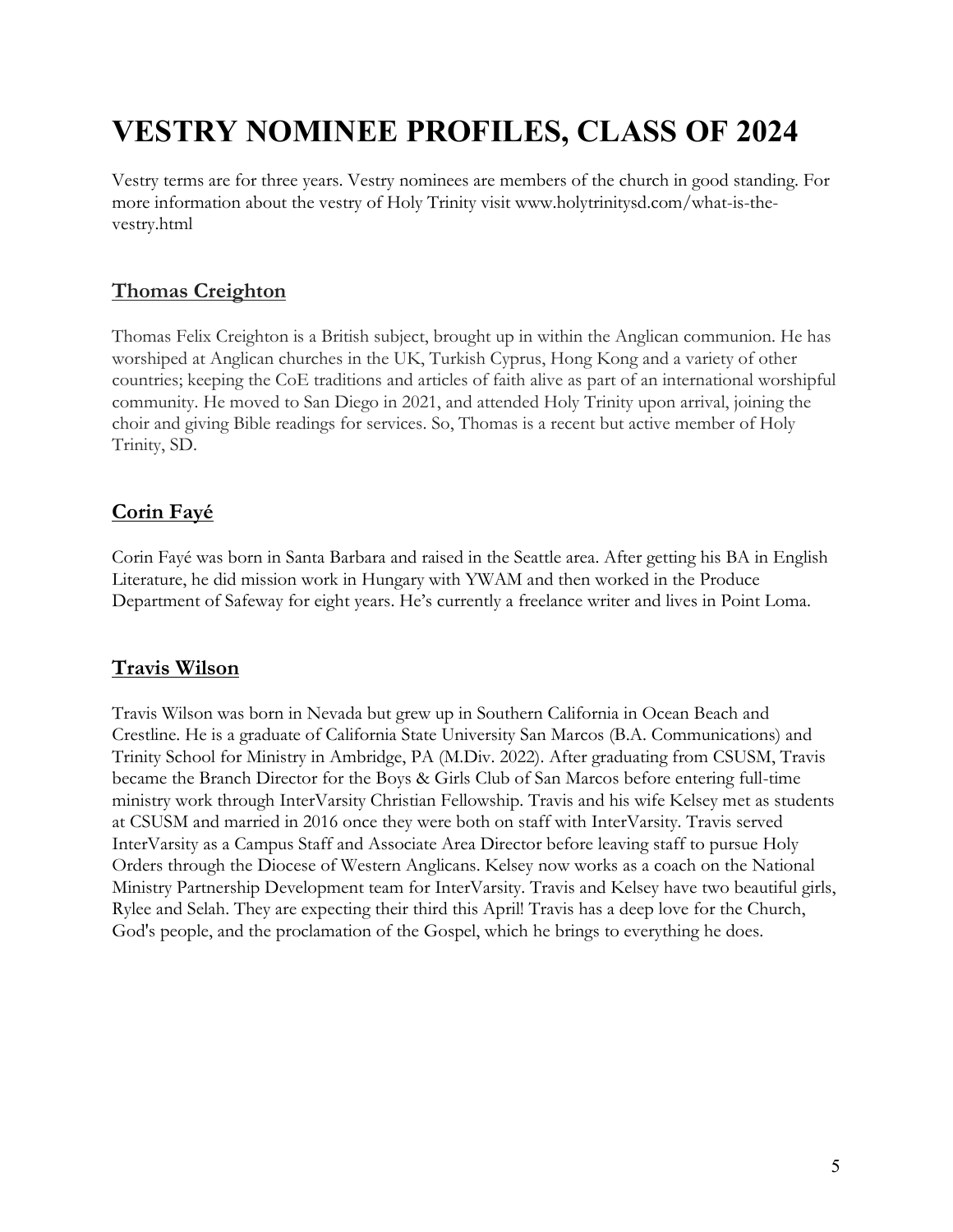## <span id="page-5-0"></span>**VESTRY NOMINEE PROFILES, CLASS OF 2024**

Vestry terms are for three years. Vestry nominees are members of the church in good standing. For more information about the vestry of Holy Trinity visit www.holytrinitysd.com/what-is-thevestry.html

### **Thomas Creighton**

Thomas Felix Creighton is a British subject, brought up in within the Anglican communion. He has worshiped at Anglican churches in the UK, Turkish Cyprus, Hong Kong and a variety of other countries; keeping the CoE traditions and articles of faith alive as part of an international worshipful community. He moved to San Diego in 2021, and attended Holy Trinity upon arrival, joining the choir and giving Bible readings for services. So, Thomas is a recent but active member of Holy Trinity, SD.

### **Corin Fayé**

Corin Fayé was born in Santa Barbara and raised in the Seattle area. After getting his BA in English Literature, he did mission work in Hungary with YWAM and then worked in the Produce Department of Safeway for eight years. He's currently a freelance writer and lives in Point Loma.

### **Travis Wilson**

Travis Wilson was born in Nevada but grew up in Southern California in Ocean Beach and Crestline. He is a graduate of California State University San Marcos (B.A. Communications) and Trinity School for Ministry in Ambridge, PA (M.Div. 2022). After graduating from CSUSM, Travis became the Branch Director for the Boys & Girls Club of San Marcos before entering full-time ministry work through InterVarsity Christian Fellowship. Travis and his wife Kelsey met as students at CSUSM and married in 2016 once they were both on staff with InterVarsity. Travis served InterVarsity as a Campus Staff and Associate Area Director before leaving staff to pursue Holy Orders through the Diocese of Western Anglicans. Kelsey now works as a coach on the National Ministry Partnership Development team for InterVarsity. Travis and Kelsey have two beautiful girls, Rylee and Selah. They are expecting their third this April! Travis has a deep love for the Church, God's people, and the proclamation of the Gospel, which he brings to everything he does.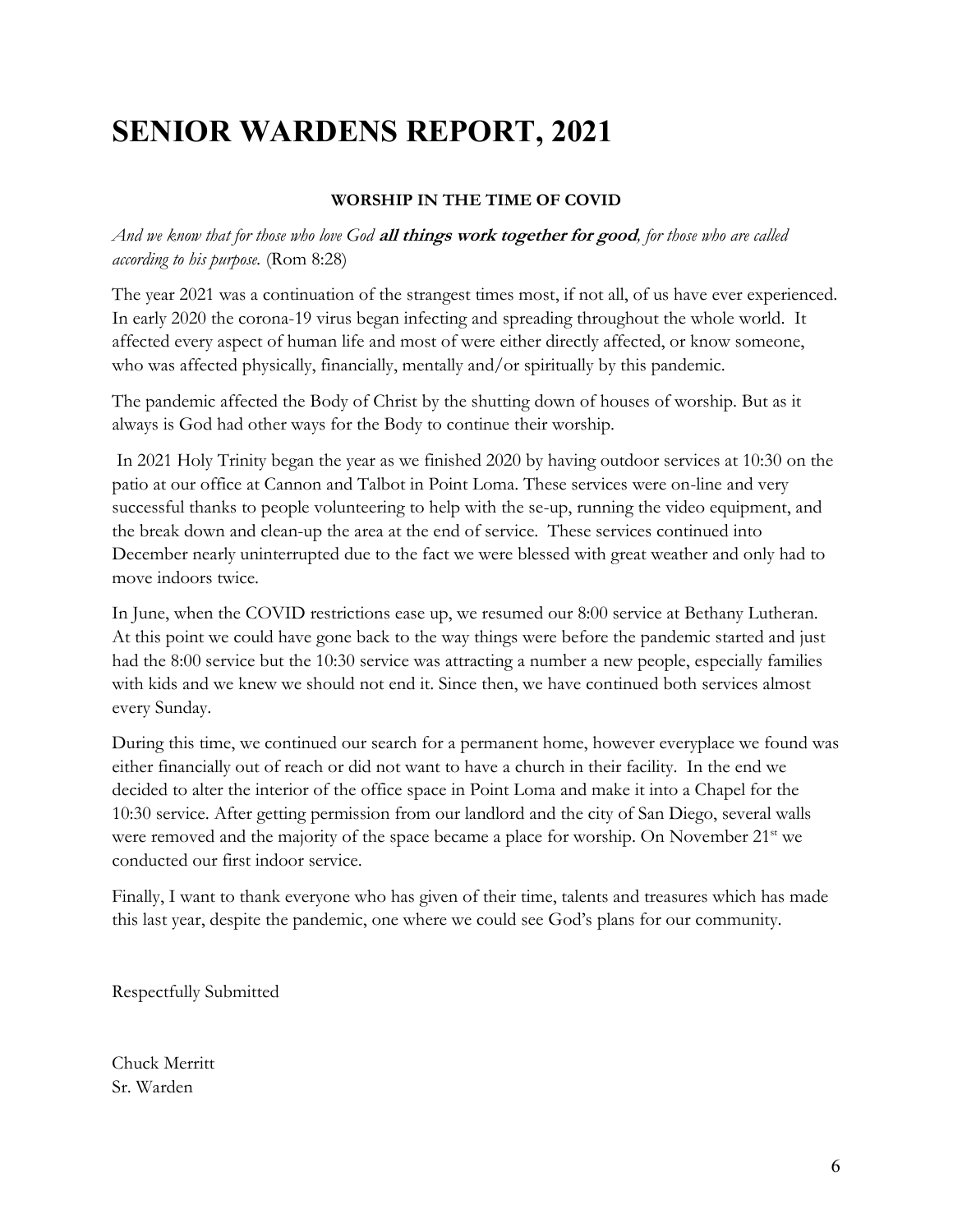## <span id="page-6-0"></span>**SENIOR WARDENS REPORT, 2021**

#### **WORSHIP IN THE TIME OF COVID**

*And we know that for those who love God* **all things work together for good***, for those who are called according to his purpose.* (Rom 8:28)

The year 2021 was a continuation of the strangest times most, if not all, of us have ever experienced. In early 2020 the corona-19 virus began infecting and spreading throughout the whole world. It affected every aspect of human life and most of were either directly affected, or know someone, who was affected physically, financially, mentally and/or spiritually by this pandemic.

The pandemic affected the Body of Christ by the shutting down of houses of worship. But as it always is God had other ways for the Body to continue their worship.

In 2021 Holy Trinity began the year as we finished 2020 by having outdoor services at 10:30 on the patio at our office at Cannon and Talbot in Point Loma. These services were on-line and very successful thanks to people volunteering to help with the se-up, running the video equipment, and the break down and clean-up the area at the end of service. These services continued into December nearly uninterrupted due to the fact we were blessed with great weather and only had to move indoors twice.

In June, when the COVID restrictions ease up, we resumed our 8:00 service at Bethany Lutheran. At this point we could have gone back to the way things were before the pandemic started and just had the 8:00 service but the 10:30 service was attracting a number a new people, especially families with kids and we knew we should not end it. Since then, we have continued both services almost every Sunday.

During this time, we continued our search for a permanent home, however everyplace we found was either financially out of reach or did not want to have a church in their facility. In the end we decided to alter the interior of the office space in Point Loma and make it into a Chapel for the 10:30 service. After getting permission from our landlord and the city of San Diego, several walls were removed and the majority of the space became a place for worship. On November 21<sup>st</sup> we conducted our first indoor service.

Finally, I want to thank everyone who has given of their time, talents and treasures which has made this last year, despite the pandemic, one where we could see God's plans for our community.

Respectfully Submitted

Chuck Merritt Sr. Warden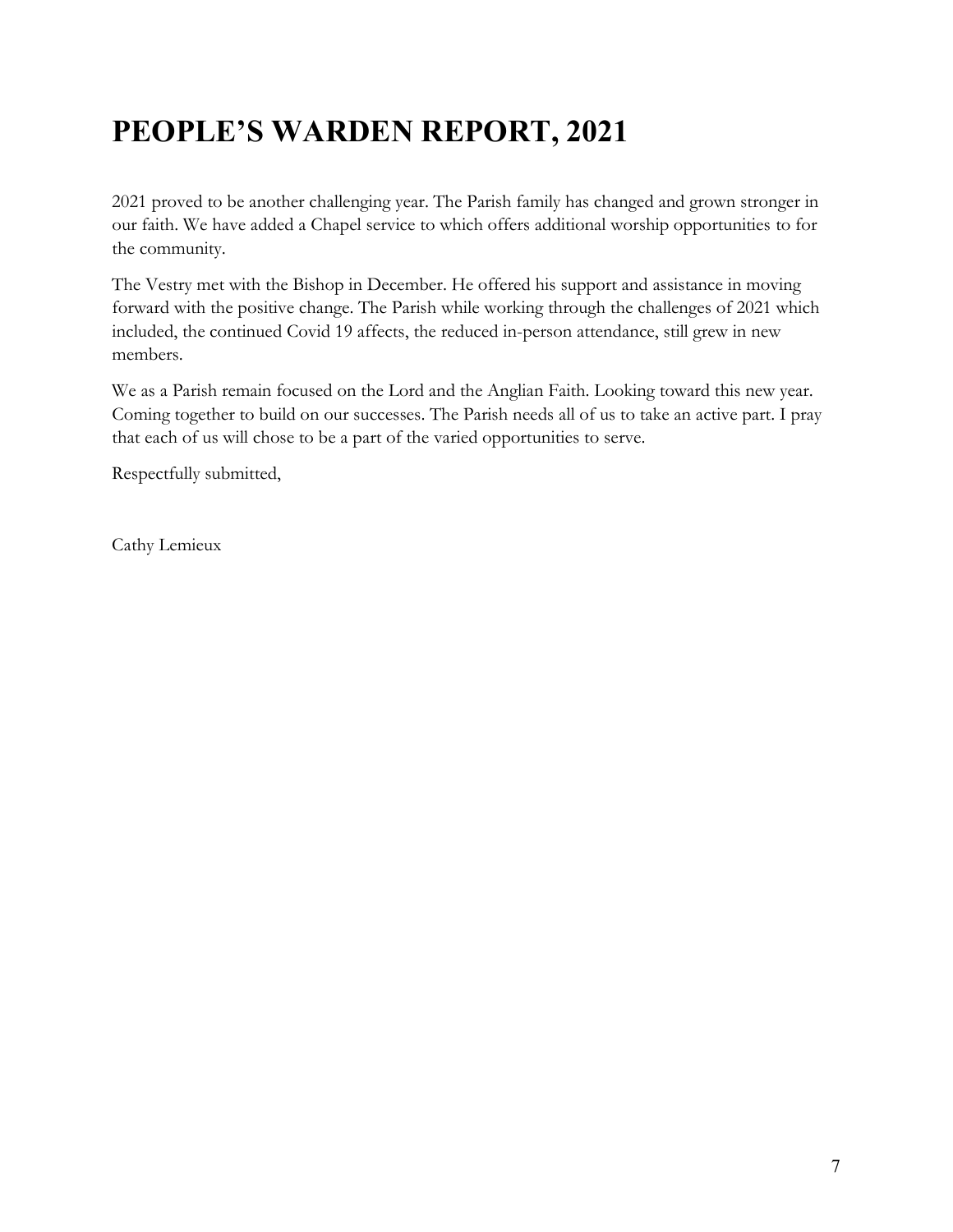## <span id="page-7-0"></span>**PEOPLE'S WARDEN REPORT, 2021**

2021 proved to be another challenging year. The Parish family has changed and grown stronger in our faith. We have added a Chapel service to which offers additional worship opportunities to for the community.

The Vestry met with the Bishop in December. He offered his support and assistance in moving forward with the positive change. The Parish while working through the challenges of 2021 which included, the continued Covid 19 affects, the reduced in-person attendance, still grew in new members.

We as a Parish remain focused on the Lord and the Anglian Faith. Looking toward this new year. Coming together to build on our successes. The Parish needs all of us to take an active part. I pray that each of us will chose to be a part of the varied opportunities to serve.

Respectfully submitted,

Cathy Lemieux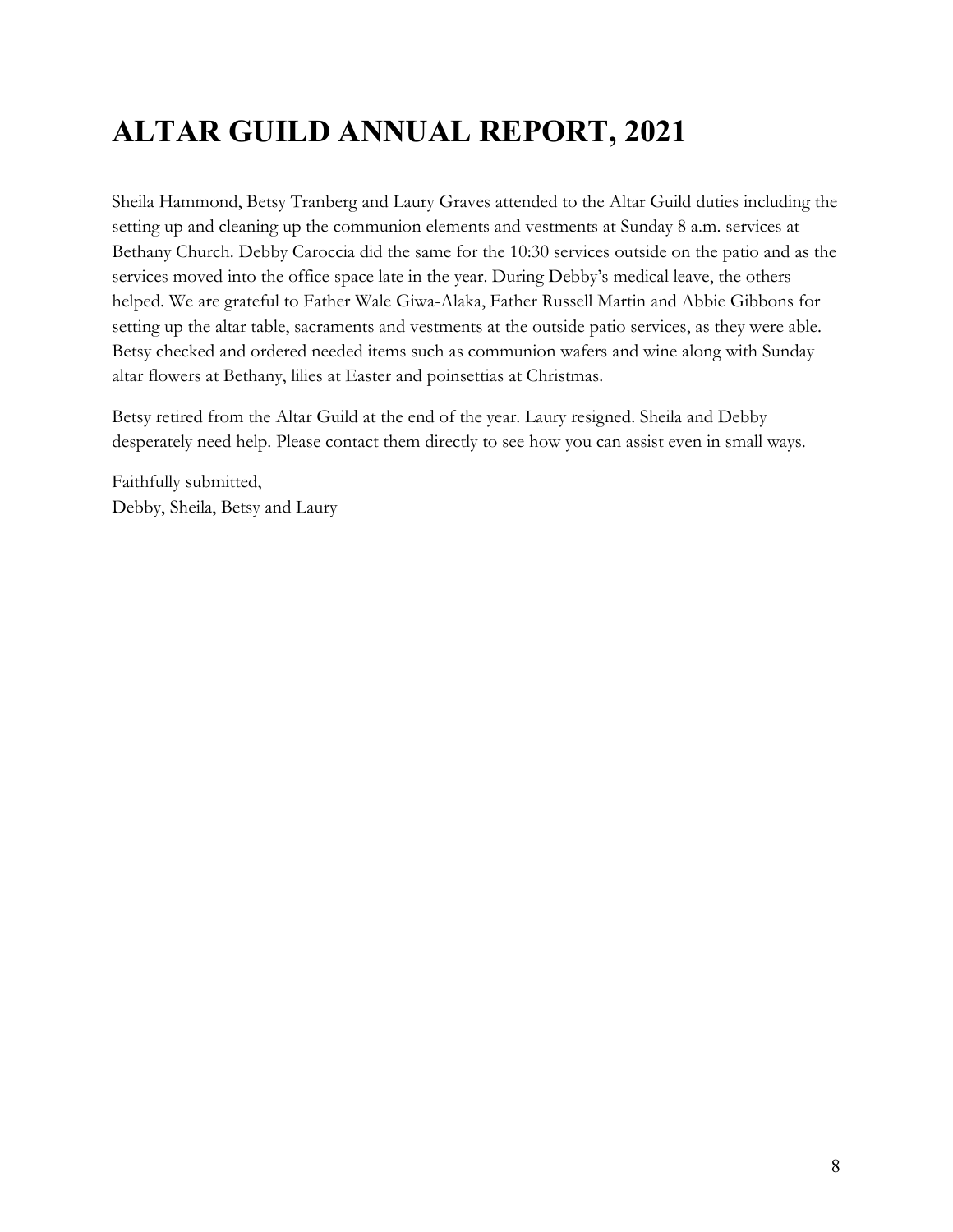## <span id="page-8-0"></span>**ALTAR GUILD ANNUAL REPORT, 2021**

Sheila Hammond, Betsy Tranberg and Laury Graves attended to the Altar Guild duties including the setting up and cleaning up the communion elements and vestments at Sunday 8 a.m. services at Bethany Church. Debby Caroccia did the same for the 10:30 services outside on the patio and as the services moved into the office space late in the year. During Debby's medical leave, the others helped. We are grateful to Father Wale Giwa-Alaka, Father Russell Martin and Abbie Gibbons for setting up the altar table, sacraments and vestments at the outside patio services, as they were able. Betsy checked and ordered needed items such as communion wafers and wine along with Sunday altar flowers at Bethany, lilies at Easter and poinsettias at Christmas.

Betsy retired from the Altar Guild at the end of the year. Laury resigned. Sheila and Debby desperately need help. Please contact them directly to see how you can assist even in small ways.

Faithfully submitted, Debby, Sheila, Betsy and Laury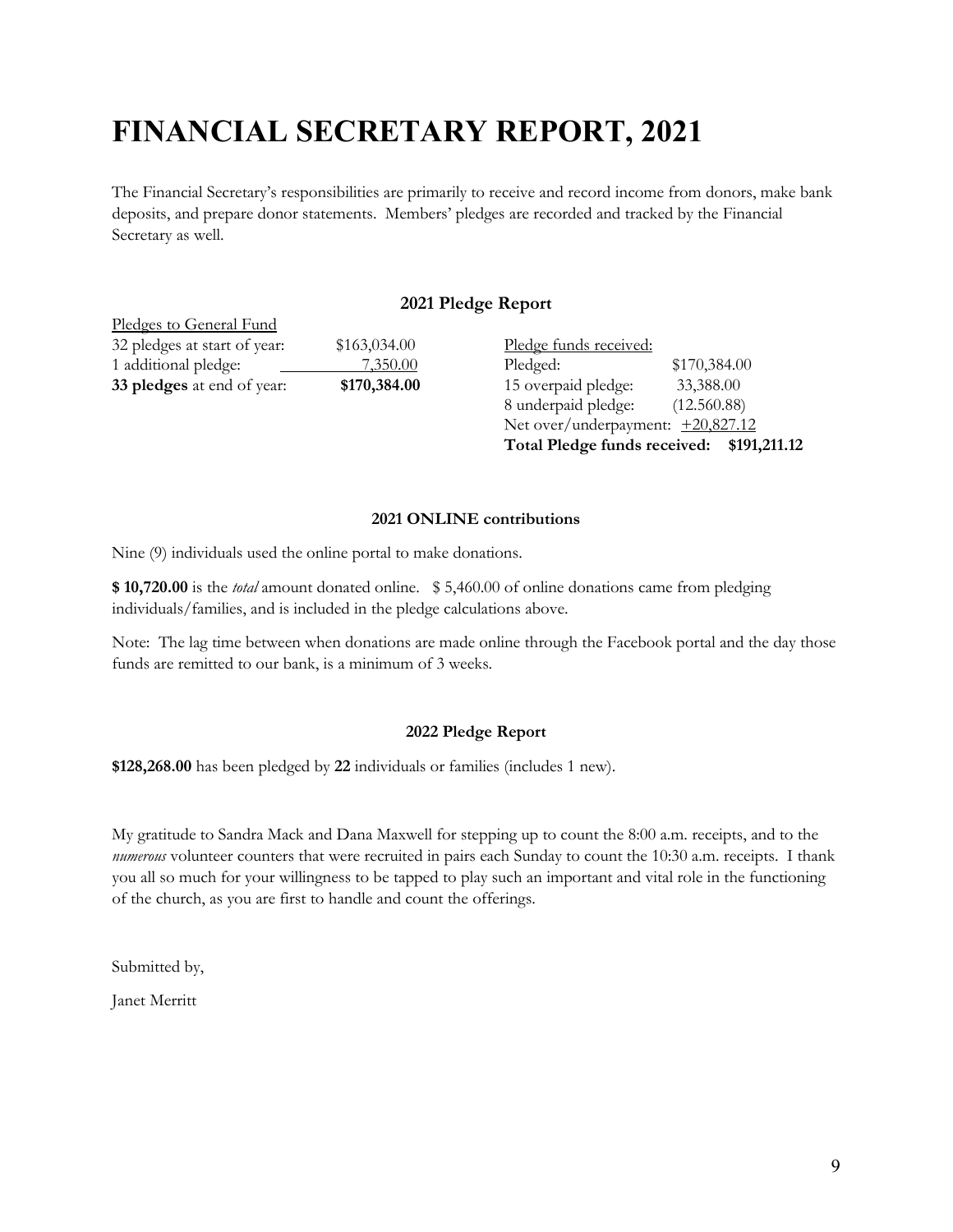## <span id="page-9-0"></span>**FINANCIAL SECRETARY REPORT, 2021**

The Financial Secretary's responsibilities are primarily to receive and record income from donors, make bank deposits, and prepare donor statements. Members' pledges are recorded and tracked by the Financial Secretary as well.

#### **2021 Pledge Report**

| Pledges to General Fund      |              |
|------------------------------|--------------|
| 32 pledges at start of year: | \$163,034.00 |
| 1 additional pledge:         | 7,350.00     |
| 33 pledges at end of year:   | \$170,384.00 |

Pledge funds received: Pledged: \$170,384.00 15 overpaid pledge: 33,388.00 8 underpaid pledge: (12.560.88) Net over/underpayment:  $+20,827.12$ **Total Pledge funds received: \$191,211.12**

#### **2021 ONLINE contributions**

Nine (9) individuals used the online portal to make donations.

**\$ 10,720.00** is the *total* amount donated online. \$ 5,460.00 of online donations came from pledging individuals/families, and is included in the pledge calculations above.

Note: The lag time between when donations are made online through the Facebook portal and the day those funds are remitted to our bank, is a minimum of 3 weeks.

#### **2022 Pledge Report**

**\$128,268.00** has been pledged by **22** individuals or families (includes 1 new).

My gratitude to Sandra Mack and Dana Maxwell for stepping up to count the 8:00 a.m. receipts, and to the *numerous* volunteer counters that were recruited in pairs each Sunday to count the 10:30 a.m. receipts. I thank you all so much for your willingness to be tapped to play such an important and vital role in the functioning of the church, as you are first to handle and count the offerings.

Submitted by,

Janet Merritt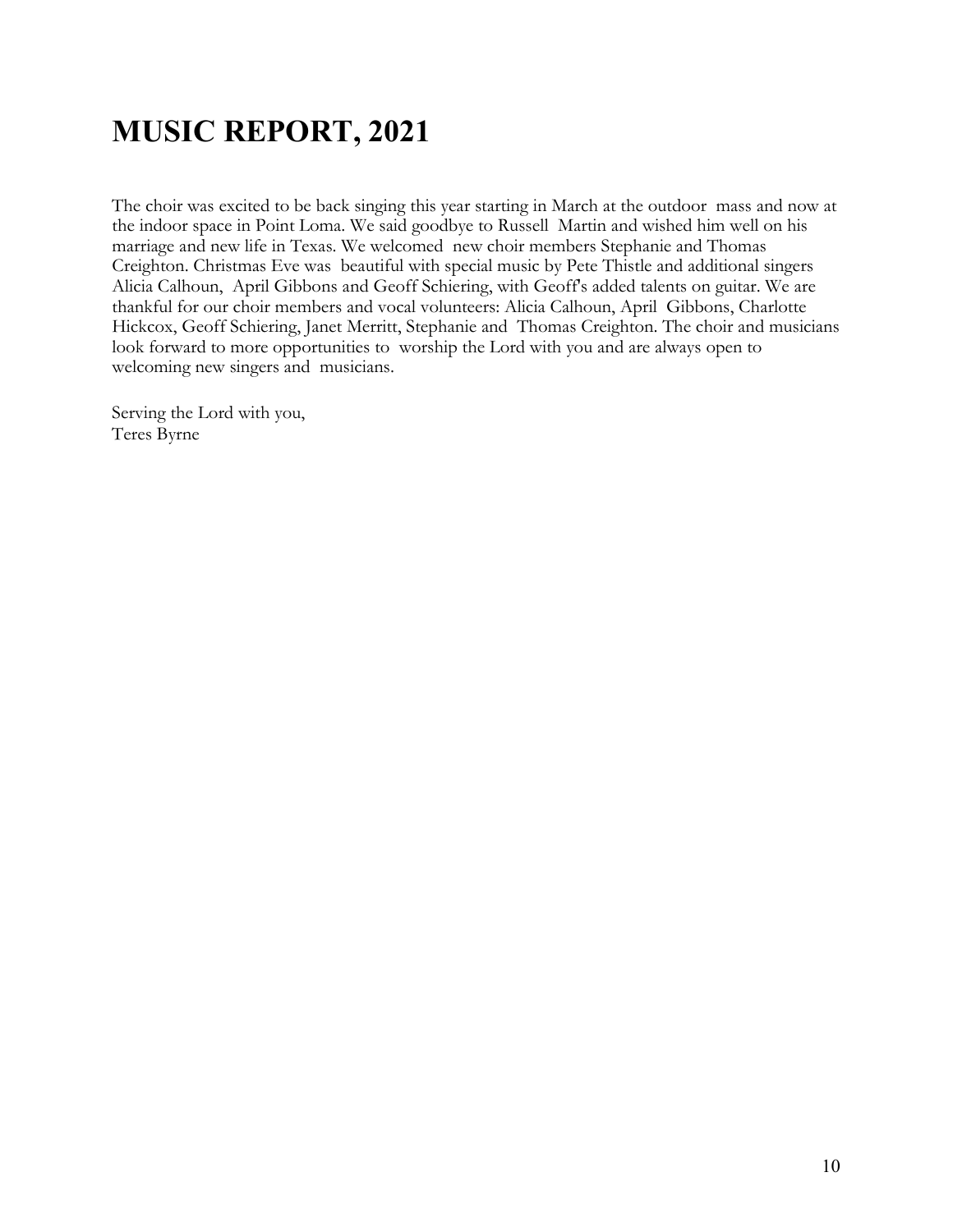## <span id="page-10-0"></span>**MUSIC REPORT, 2021**

The choir was excited to be back singing this year starting in March at the outdoor mass and now at the indoor space in Point Loma. We said goodbye to Russell Martin and wished him well on his marriage and new life in Texas. We welcomed new choir members Stephanie and Thomas Creighton. Christmas Eve was beautiful with special music by Pete Thistle and additional singers Alicia Calhoun, April Gibbons and Geoff Schiering, with Geoff's added talents on guitar. We are thankful for our choir members and vocal volunteers: Alicia Calhoun, April Gibbons, Charlotte Hickcox, Geoff Schiering, Janet Merritt, Stephanie and Thomas Creighton. The choir and musicians look forward to more opportunities to worship the Lord with you and are always open to welcoming new singers and musicians.

Serving the Lord with you, Teres Byrne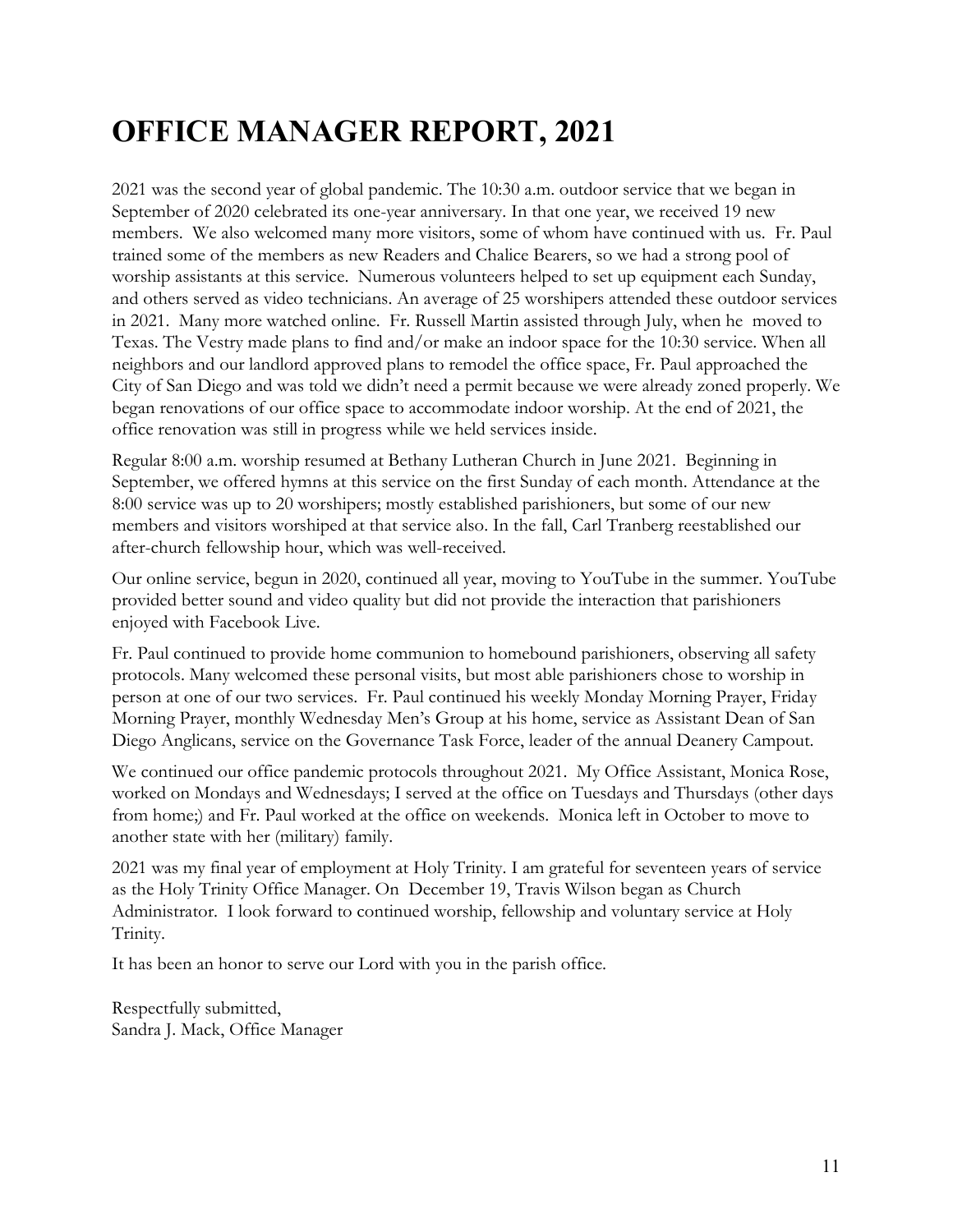## <span id="page-11-0"></span>**OFFICE MANAGER REPORT, 2021**

2021 was the second year of global pandemic. The 10:30 a.m. outdoor service that we began in September of 2020 celebrated its one-year anniversary. In that one year, we received 19 new members. We also welcomed many more visitors, some of whom have continued with us. Fr. Paul trained some of the members as new Readers and Chalice Bearers, so we had a strong pool of worship assistants at this service. Numerous volunteers helped to set up equipment each Sunday, and others served as video technicians. An average of 25 worshipers attended these outdoor services in 2021. Many more watched online. Fr. Russell Martin assisted through July, when he moved to Texas. The Vestry made plans to find and/or make an indoor space for the 10:30 service. When all neighbors and our landlord approved plans to remodel the office space, Fr. Paul approached the City of San Diego and was told we didn't need a permit because we were already zoned properly. We began renovations of our office space to accommodate indoor worship. At the end of 2021, the office renovation was still in progress while we held services inside.

Regular 8:00 a.m. worship resumed at Bethany Lutheran Church in June 2021. Beginning in September, we offered hymns at this service on the first Sunday of each month. Attendance at the 8:00 service was up to 20 worshipers; mostly established parishioners, but some of our new members and visitors worshiped at that service also. In the fall, Carl Tranberg reestablished our after-church fellowship hour, which was well-received.

Our online service, begun in 2020, continued all year, moving to YouTube in the summer. YouTube provided better sound and video quality but did not provide the interaction that parishioners enjoyed with Facebook Live.

Fr. Paul continued to provide home communion to homebound parishioners, observing all safety protocols. Many welcomed these personal visits, but most able parishioners chose to worship in person at one of our two services. Fr. Paul continued his weekly Monday Morning Prayer, Friday Morning Prayer, monthly Wednesday Men's Group at his home, service as Assistant Dean of San Diego Anglicans, service on the Governance Task Force, leader of the annual Deanery Campout.

We continued our office pandemic protocols throughout 2021. My Office Assistant, Monica Rose, worked on Mondays and Wednesdays; I served at the office on Tuesdays and Thursdays (other days from home;) and Fr. Paul worked at the office on weekends. Monica left in October to move to another state with her (military) family.

2021 was my final year of employment at Holy Trinity. I am grateful for seventeen years of service as the Holy Trinity Office Manager. On December 19, Travis Wilson began as Church Administrator. I look forward to continued worship, fellowship and voluntary service at Holy Trinity.

It has been an honor to serve our Lord with you in the parish office.

Respectfully submitted, Sandra J. Mack, Office Manager